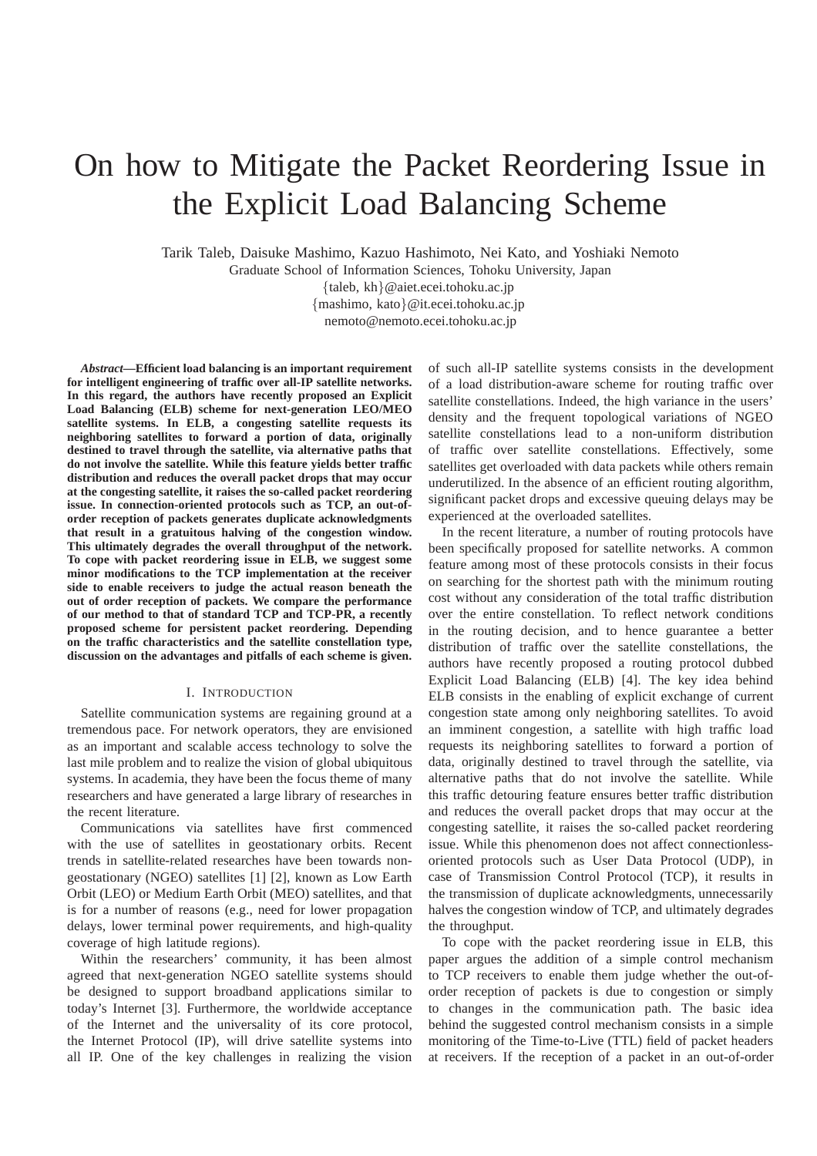# On how to Mitigate the Packet Reordering Issue in the Explicit Load Balancing Scheme

Tarik Taleb, Daisuke Mashimo, Kazuo Hashimoto, Nei Kato, and Yoshiaki Nemoto

Graduate School of Information Sciences, Tohoku University, Japan {taleb, kh}@aiet.ecei.tohoku.ac.jp

> {mashimo, kato}@it.ecei.tohoku.ac.jp nemoto@nemoto.ecei.tohoku.ac.jp

*Abstract***—Efficient load balancing is an important requirement for intelligent engineering of traffic over all-IP satellite networks. In this regard, the authors have recently proposed an Explicit Load Balancing (ELB) scheme for next-generation LEO/MEO satellite systems. In ELB, a congesting satellite requests its neighboring satellites to forward a portion of data, originally destined to travel through the satellite, via alternative paths that do not involve the satellite. While this feature yields better traffic distribution and reduces the overall packet drops that may occur at the congesting satellite, it raises the so-called packet reordering issue. In connection-oriented protocols such as TCP, an out-oforder reception of packets generates duplicate acknowledgments that result in a gratuitous halving of the congestion window. This ultimately degrades the overall throughput of the network. To cope with packet reordering issue in ELB, we suggest some minor modifications to the TCP implementation at the receiver side to enable receivers to judge the actual reason beneath the out of order reception of packets. We compare the performance of our method to that of standard TCP and TCP-PR, a recently proposed scheme for persistent packet reordering. Depending on the traffic characteristics and the satellite constellation type, discussion on the advantages and pitfalls of each scheme is given.**

# I. INTRODUCTION

Satellite communication systems are regaining ground at a tremendous pace. For network operators, they are envisioned as an important and scalable access technology to solve the last mile problem and to realize the vision of global ubiquitous systems. In academia, they have been the focus theme of many researchers and have generated a large library of researches in the recent literature.

Communications via satellites have first commenced with the use of satellites in geostationary orbits. Recent trends in satellite-related researches have been towards nongeostationary (NGEO) satellites [1] [2], known as Low Earth Orbit (LEO) or Medium Earth Orbit (MEO) satellites, and that is for a number of reasons (e.g., need for lower propagation delays, lower terminal power requirements, and high-quality coverage of high latitude regions).

Within the researchers' community, it has been almost agreed that next-generation NGEO satellite systems should be designed to support broadband applications similar to today's Internet [3]. Furthermore, the worldwide acceptance of the Internet and the universality of its core protocol, the Internet Protocol (IP), will drive satellite systems into all IP. One of the key challenges in realizing the vision of such all-IP satellite systems consists in the development of a load distribution-aware scheme for routing traffic over satellite constellations. Indeed, the high variance in the users' density and the frequent topological variations of NGEO satellite constellations lead to a non-uniform distribution of traffic over satellite constellations. Effectively, some satellites get overloaded with data packets while others remain underutilized. In the absence of an efficient routing algorithm, significant packet drops and excessive queuing delays may be experienced at the overloaded satellites.

In the recent literature, a number of routing protocols have been specifically proposed for satellite networks. A common feature among most of these protocols consists in their focus on searching for the shortest path with the minimum routing cost without any consideration of the total traffic distribution over the entire constellation. To reflect network conditions in the routing decision, and to hence guarantee a better distribution of traffic over the satellite constellations, the authors have recently proposed a routing protocol dubbed Explicit Load Balancing (ELB) [4]. The key idea behind ELB consists in the enabling of explicit exchange of current congestion state among only neighboring satellites. To avoid an imminent congestion, a satellite with high traffic load requests its neighboring satellites to forward a portion of data, originally destined to travel through the satellite, via alternative paths that do not involve the satellite. While this traffic detouring feature ensures better traffic distribution and reduces the overall packet drops that may occur at the congesting satellite, it raises the so-called packet reordering issue. While this phenomenon does not affect connectionlessoriented protocols such as User Data Protocol (UDP), in case of Transmission Control Protocol (TCP), it results in the transmission of duplicate acknowledgments, unnecessarily halves the congestion window of TCP, and ultimately degrades the throughput.

To cope with the packet reordering issue in ELB, this paper argues the addition of a simple control mechanism to TCP receivers to enable them judge whether the out-oforder reception of packets is due to congestion or simply to changes in the communication path. The basic idea behind the suggested control mechanism consists in a simple monitoring of the Time-to-Live (TTL) field of packet headers at receivers. If the reception of a packet in an out-of-order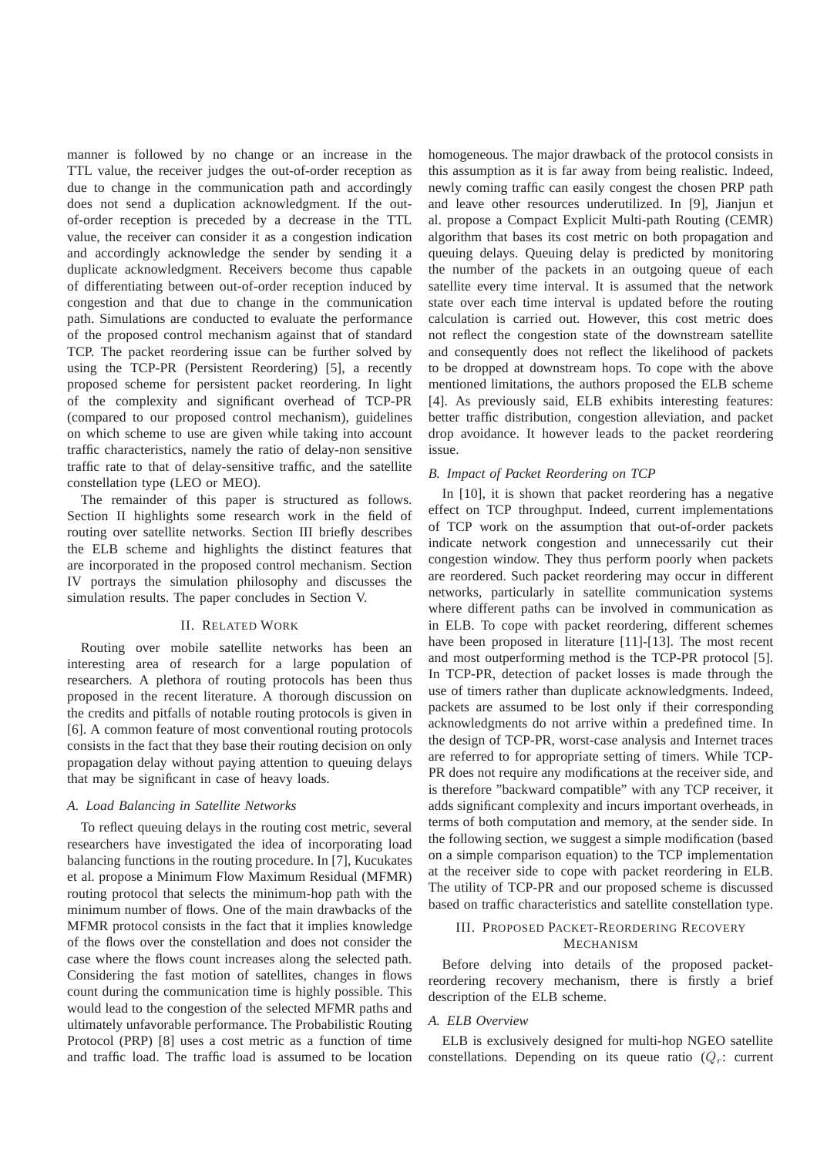manner is followed by no change or an increase in the TTL value, the receiver judges the out-of-order reception as due to change in the communication path and accordingly does not send a duplication acknowledgment. If the outof-order reception is preceded by a decrease in the TTL value, the receiver can consider it as a congestion indication and accordingly acknowledge the sender by sending it a duplicate acknowledgment. Receivers become thus capable of differentiating between out-of-order reception induced by congestion and that due to change in the communication path. Simulations are conducted to evaluate the performance of the proposed control mechanism against that of standard TCP. The packet reordering issue can be further solved by using the TCP-PR (Persistent Reordering) [5], a recently proposed scheme for persistent packet reordering. In light of the complexity and significant overhead of TCP-PR (compared to our proposed control mechanism), guidelines on which scheme to use are given while taking into account traffic characteristics, namely the ratio of delay-non sensitive traffic rate to that of delay-sensitive traffic, and the satellite constellation type (LEO or MEO).

The remainder of this paper is structured as follows. Section II highlights some research work in the field of routing over satellite networks. Section III briefly describes the ELB scheme and highlights the distinct features that are incorporated in the proposed control mechanism. Section IV portrays the simulation philosophy and discusses the simulation results. The paper concludes in Section V.

# II. RELATED WORK

Routing over mobile satellite networks has been an interesting area of research for a large population of researchers. A plethora of routing protocols has been thus proposed in the recent literature. A thorough discussion on the credits and pitfalls of notable routing protocols is given in [6]. A common feature of most conventional routing protocols consists in the fact that they base their routing decision on only propagation delay without paying attention to queuing delays that may be significant in case of heavy loads.

# *A. Load Balancing in Satellite Networks*

To reflect queuing delays in the routing cost metric, several researchers have investigated the idea of incorporating load balancing functions in the routing procedure. In [7], Kucukates et al. propose a Minimum Flow Maximum Residual (MFMR) routing protocol that selects the minimum-hop path with the minimum number of flows. One of the main drawbacks of the MFMR protocol consists in the fact that it implies knowledge of the flows over the constellation and does not consider the case where the flows count increases along the selected path. Considering the fast motion of satellites, changes in flows count during the communication time is highly possible. This would lead to the congestion of the selected MFMR paths and ultimately unfavorable performance. The Probabilistic Routing Protocol (PRP) [8] uses a cost metric as a function of time and traffic load. The traffic load is assumed to be location homogeneous. The major drawback of the protocol consists in this assumption as it is far away from being realistic. Indeed, newly coming traffic can easily congest the chosen PRP path and leave other resources underutilized. In [9], Jianjun et al. propose a Compact Explicit Multi-path Routing (CEMR) algorithm that bases its cost metric on both propagation and queuing delays. Queuing delay is predicted by monitoring the number of the packets in an outgoing queue of each satellite every time interval. It is assumed that the network state over each time interval is updated before the routing calculation is carried out. However, this cost metric does not reflect the congestion state of the downstream satellite and consequently does not reflect the likelihood of packets to be dropped at downstream hops. To cope with the above mentioned limitations, the authors proposed the ELB scheme [4]. As previously said, ELB exhibits interesting features: better traffic distribution, congestion alleviation, and packet drop avoidance. It however leads to the packet reordering issue.

# *B. Impact of Packet Reordering on TCP*

In [10], it is shown that packet reordering has a negative effect on TCP throughput. Indeed, current implementations of TCP work on the assumption that out-of-order packets indicate network congestion and unnecessarily cut their congestion window. They thus perform poorly when packets are reordered. Such packet reordering may occur in different networks, particularly in satellite communication systems where different paths can be involved in communication as in ELB. To cope with packet reordering, different schemes have been proposed in literature [11]-[13]. The most recent and most outperforming method is the TCP-PR protocol [5]. In TCP-PR, detection of packet losses is made through the use of timers rather than duplicate acknowledgments. Indeed, packets are assumed to be lost only if their corresponding acknowledgments do not arrive within a predefined time. In the design of TCP-PR, worst-case analysis and Internet traces are referred to for appropriate setting of timers. While TCP-PR does not require any modifications at the receiver side, and is therefore "backward compatible" with any TCP receiver, it adds significant complexity and incurs important overheads, in terms of both computation and memory, at the sender side. In the following section, we suggest a simple modification (based on a simple comparison equation) to the TCP implementation at the receiver side to cope with packet reordering in ELB. The utility of TCP-PR and our proposed scheme is discussed based on traffic characteristics and satellite constellation type.

# III. PROPOSED PACKET-REORDERING RECOVERY MECHANISM

Before delving into details of the proposed packetreordering recovery mechanism, there is firstly a brief description of the ELB scheme.

# *A. ELB Overview*

ELB is exclusively designed for multi-hop NGEO satellite constellations. Depending on its queue ratio  $(Q_r:$  current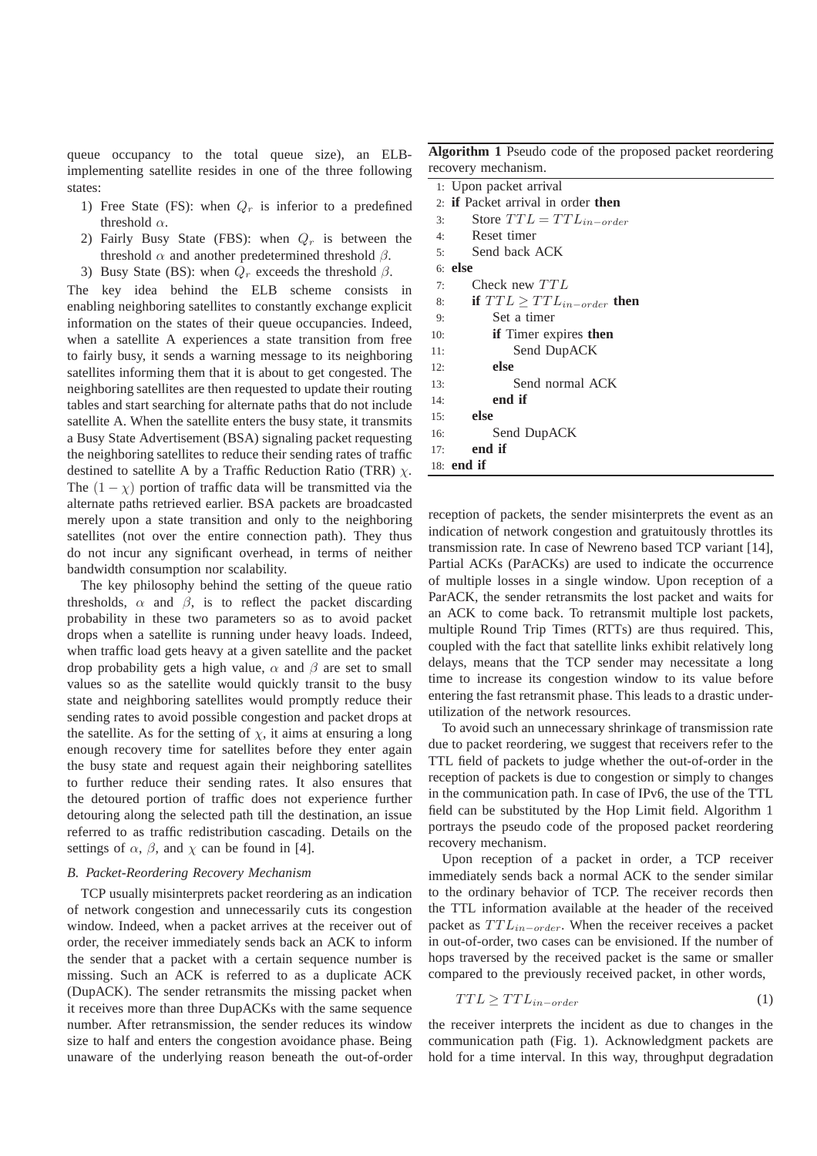queue occupancy to the total queue size), an ELBimplementing satellite resides in one of the three following states:

- 1) Free State (FS): when  $Q_r$  is inferior to a predefined threshold  $\alpha$ .
- 2) Fairly Busy State (FBS): when  $Q_r$  is between the threshold  $\alpha$  and another predetermined threshold  $\beta$ .
- 3) Busy State (BS): when  $Q_r$  exceeds the threshold  $\beta$ .

The key idea behind the ELB scheme consists in enabling neighboring satellites to constantly exchange explicit information on the states of their queue occupancies. Indeed, when a satellite A experiences a state transition from free to fairly busy, it sends a warning message to its neighboring satellites informing them that it is about to get congested. The neighboring satellites are then requested to update their routing tables and start searching for alternate paths that do not include satellite A. When the satellite enters the busy state, it transmits a Busy State Advertisement (BSA) signaling packet requesting the neighboring satellites to reduce their sending rates of traffic destined to satellite A by a Traffic Reduction Ratio (TRR)  $\chi$ . The  $(1 - \chi)$  portion of traffic data will be transmitted via the alternate paths retrieved earlier. BSA packets are broadcasted merely upon a state transition and only to the neighboring satellites (not over the entire connection path). They thus do not incur any significant overhead, in terms of neither bandwidth consumption nor scalability.

The key philosophy behind the setting of the queue ratio thresholds,  $\alpha$  and  $\beta$ , is to reflect the packet discarding probability in these two parameters so as to avoid packet drops when a satellite is running under heavy loads. Indeed, when traffic load gets heavy at a given satellite and the packet drop probability gets a high value,  $\alpha$  and  $\beta$  are set to small values so as the satellite would quickly transit to the busy state and neighboring satellites would promptly reduce their sending rates to avoid possible congestion and packet drops at the satellite. As for the setting of  $\chi$ , it aims at ensuring a long enough recovery time for satellites before they enter again the busy state and request again their neighboring satellites to further reduce their sending rates. It also ensures that the detoured portion of traffic does not experience further detouring along the selected path till the destination, an issue referred to as traffic redistribution cascading. Details on the settings of  $\alpha$ ,  $\beta$ , and  $\gamma$  can be found in [4].

#### *B. Packet-Reordering Recovery Mechanism*

TCP usually misinterprets packet reordering as an indication of network congestion and unnecessarily cuts its congestion window. Indeed, when a packet arrives at the receiver out of order, the receiver immediately sends back an ACK to inform the sender that a packet with a certain sequence number is missing. Such an ACK is referred to as a duplicate ACK (DupACK). The sender retransmits the missing packet when it receives more than three DupACKs with the same sequence number. After retransmission, the sender reduces its window size to half and enters the congestion avoidance phase. Being unaware of the underlying reason beneath the out-of-order

**Algorithm 1** Pseudo code of the proposed packet reordering recovery mechanism.

|                 | 1: Upon packet arrival             |
|-----------------|------------------------------------|
|                 | 2: if Packet arrival in order then |
| 3:              | Store $TTL = TTL_{in-order}$       |
| 4:              | Reset timer                        |
|                 | Send back ACK<br>5 <sup>1</sup>    |
|                 | 6: <b>else</b>                     |
| $7\cdot$        | Check new $TTL$                    |
| 8:              | if $TTL \geq TTL_{in-order}$ then  |
| 9:              | Set a timer                        |
| 10:             | <b>if</b> Timer expires then       |
| 11:             | Send DupACK                        |
| 12:             | else                               |
| 13:             | Send normal ACK                    |
| 14 <sup>·</sup> | end if                             |
| 15:             | else                               |
| 16:             | Send DupACK                        |
| 17:             | end if                             |
| $18:$ end if    |                                    |
|                 |                                    |

reception of packets, the sender misinterprets the event as an indication of network congestion and gratuitously throttles its transmission rate. In case of Newreno based TCP variant [14], Partial ACKs (ParACKs) are used to indicate the occurrence of multiple losses in a single window. Upon reception of a ParACK, the sender retransmits the lost packet and waits for an ACK to come back. To retransmit multiple lost packets, multiple Round Trip Times (RTTs) are thus required. This, coupled with the fact that satellite links exhibit relatively long delays, means that the TCP sender may necessitate a long time to increase its congestion window to its value before entering the fast retransmit phase. This leads to a drastic underutilization of the network resources.

To avoid such an unnecessary shrinkage of transmission rate due to packet reordering, we suggest that receivers refer to the TTL field of packets to judge whether the out-of-order in the reception of packets is due to congestion or simply to changes in the communication path. In case of IPv6, the use of the TTL field can be substituted by the Hop Limit field. Algorithm 1 portrays the pseudo code of the proposed packet reordering recovery mechanism.

Upon reception of a packet in order, a TCP receiver immediately sends back a normal ACK to the sender similar to the ordinary behavior of TCP. The receiver records then the TTL information available at the header of the received packet as  $TTL_{in-order}$ . When the receiver receives a packet in out-of-order, two cases can be envisioned. If the number of hops traversed by the received packet is the same or smaller compared to the previously received packet, in other words,

$$
TTL \geq TTL_{in-order} \tag{1}
$$

the receiver interprets the incident as due to changes in the communication path (Fig. 1). Acknowledgment packets are hold for a time interval. In this way, throughput degradation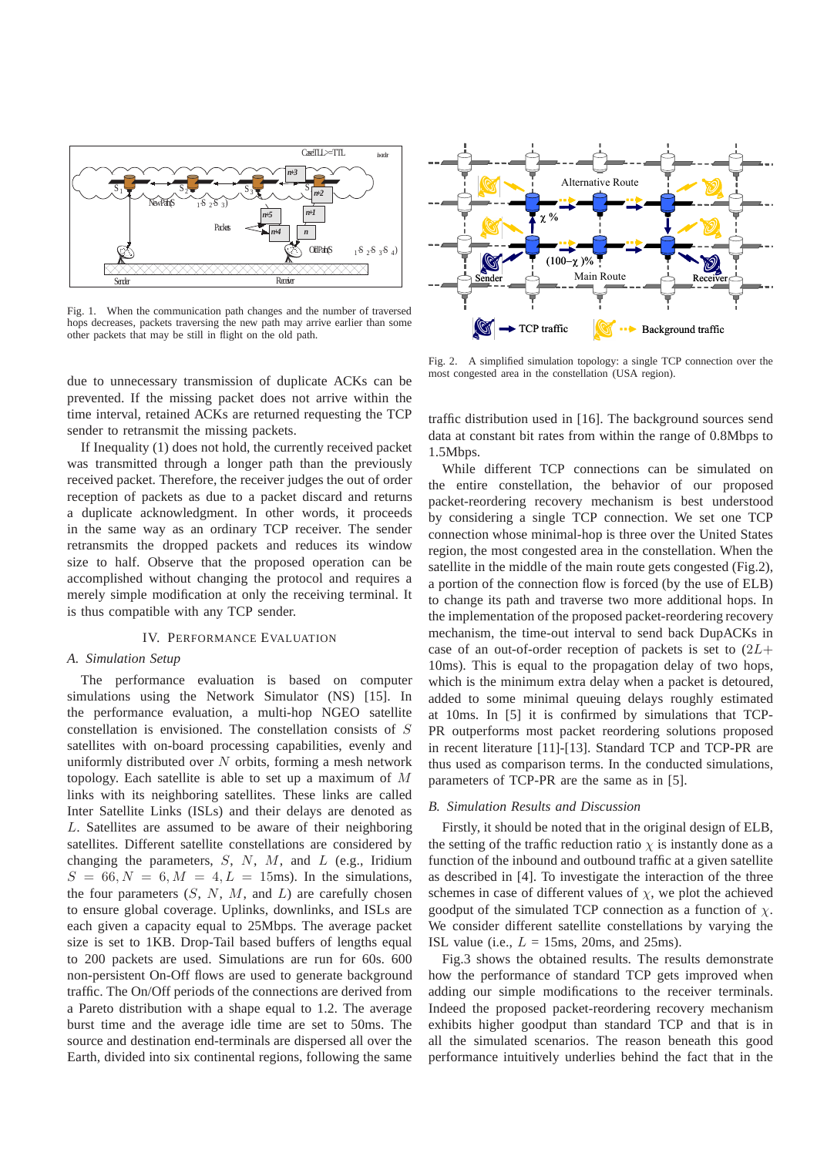

Fig. 1. When the communication path changes and the number of traversed hops decreases, packets traversing the new path may arrive earlier than some other packets that may be still in flight on the old path.

due to unnecessary transmission of duplicate ACKs can be prevented. If the missing packet does not arrive within the time interval, retained ACKs are returned requesting the TCP sender to retransmit the missing packets.

If Inequality (1) does not hold, the currently received packet was transmitted through a longer path than the previously received packet. Therefore, the receiver judges the out of order reception of packets as due to a packet discard and returns a duplicate acknowledgment. In other words, it proceeds in the same way as an ordinary TCP receiver. The sender retransmits the dropped packets and reduces its window size to half. Observe that the proposed operation can be accomplished without changing the protocol and requires a merely simple modification at only the receiving terminal. It is thus compatible with any TCP sender.

# IV. PERFORMANCE EVALUATION

# *A. Simulation Setup*

The performance evaluation is based on computer simulations using the Network Simulator (NS) [15]. In the performance evaluation, a multi-hop NGEO satellite constellation is envisioned. The constellation consists of S satellites with on-board processing capabilities, evenly and uniformly distributed over  $N$  orbits, forming a mesh network topology. Each satellite is able to set up a maximum of  $M$ links with its neighboring satellites. These links are called Inter Satellite Links (ISLs) and their delays are denoted as L. Satellites are assumed to be aware of their neighboring satellites. Different satellite constellations are considered by changing the parameters,  $S$ ,  $N$ ,  $M$ , and  $L$  (e.g., Iridium  $S = 66, N = 6, M = 4, L = 15$ ms). In the simulations, the four parameters  $(S, N, M, \text{ and } L)$  are carefully chosen to ensure global coverage. Uplinks, downlinks, and ISLs are each given a capacity equal to 25Mbps. The average packet size is set to 1KB. Drop-Tail based buffers of lengths equal to 200 packets are used. Simulations are run for 60s. 600 non-persistent On-Off flows are used to generate background traffic. The On/Off periods of the connections are derived from a Pareto distribution with a shape equal to 1.2. The average burst time and the average idle time are set to 50ms. The source and destination end-terminals are dispersed all over the Earth, divided into six continental regions, following the same



Fig. 2. A simplified simulation topology: a single TCP connection over the most congested area in the constellation (USA region).

traffic distribution used in [16]. The background sources send data at constant bit rates from within the range of 0.8Mbps to 1.5Mbps.

While different TCP connections can be simulated on the entire constellation, the behavior of our proposed packet-reordering recovery mechanism is best understood by considering a single TCP connection. We set one TCP connection whose minimal-hop is three over the United States region, the most congested area in the constellation. When the satellite in the middle of the main route gets congested (Fig.2), a portion of the connection flow is forced (by the use of ELB) to change its path and traverse two more additional hops. In the implementation of the proposed packet-reordering recovery mechanism, the time-out interval to send back DupACKs in case of an out-of-order reception of packets is set to  $(2L+$ 10ms). This is equal to the propagation delay of two hops, which is the minimum extra delay when a packet is detoured, added to some minimal queuing delays roughly estimated at 10ms. In [5] it is confirmed by simulations that TCP-PR outperforms most packet reordering solutions proposed in recent literature [11]-[13]. Standard TCP and TCP-PR are thus used as comparison terms. In the conducted simulations, parameters of TCP-PR are the same as in [5].

# *B. Simulation Results and Discussion*

Firstly, it should be noted that in the original design of ELB, the setting of the traffic reduction ratio  $\chi$  is instantly done as a function of the inbound and outbound traffic at a given satellite as described in [4]. To investigate the interaction of the three schemes in case of different values of  $\chi$ , we plot the achieved goodput of the simulated TCP connection as a function of  $\chi$ . We consider different satellite constellations by varying the ISL value (i.e.,  $L = 15$ ms, 20ms, and 25ms).

Fig.3 shows the obtained results. The results demonstrate how the performance of standard TCP gets improved when adding our simple modifications to the receiver terminals. Indeed the proposed packet-reordering recovery mechanism exhibits higher goodput than standard TCP and that is in all the simulated scenarios. The reason beneath this good performance intuitively underlies behind the fact that in the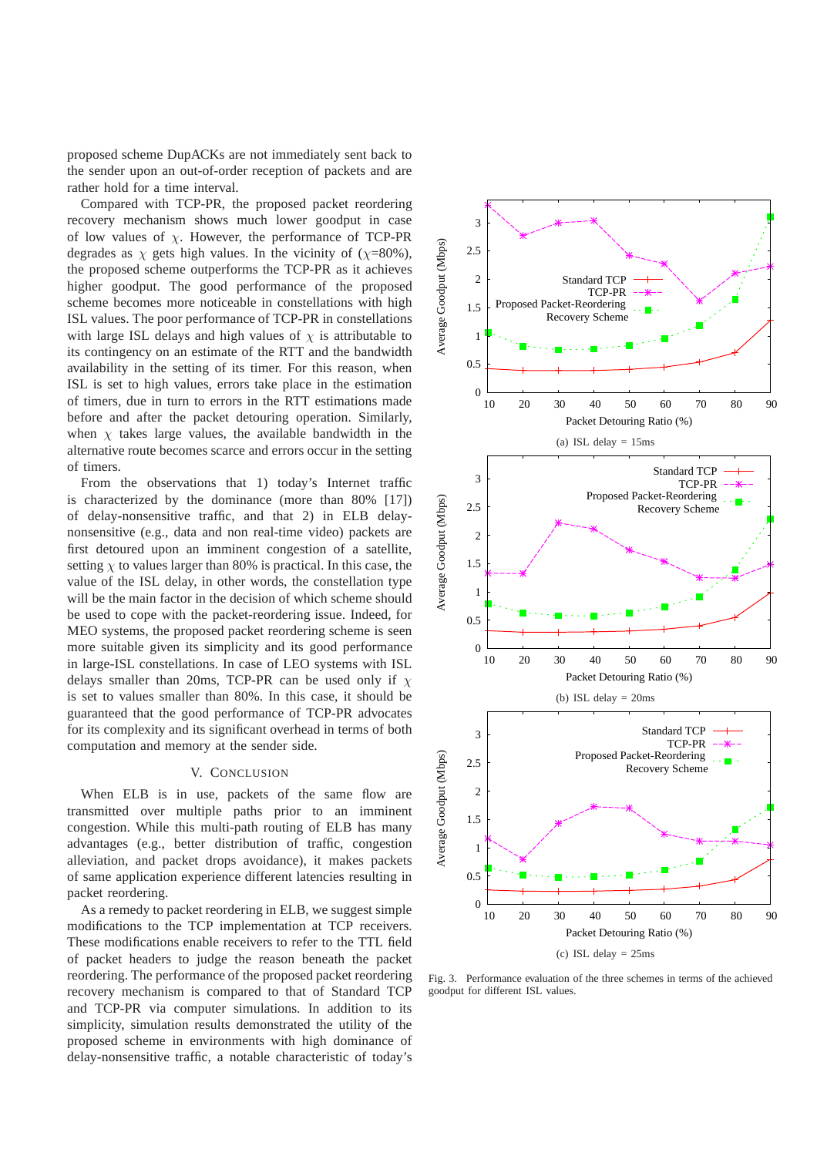proposed scheme DupACKs are not immediately sent back to the sender upon an out-of-order reception of packets and are rather hold for a time interval.

Compared with TCP-PR, the proposed packet reordering recovery mechanism shows much lower goodput in case of low values of  $\chi$ . However, the performance of TCP-PR degrades as  $\chi$  gets high values. In the vicinity of ( $\chi$ =80%), the proposed scheme outperforms the TCP-PR as it achieves higher goodput. The good performance of the proposed scheme becomes more noticeable in constellations with high ISL values. The poor performance of TCP-PR in constellations with large ISL delays and high values of  $\chi$  is attributable to its contingency on an estimate of the RTT and the bandwidth availability in the setting of its timer. For this reason, when ISL is set to high values, errors take place in the estimation of timers, due in turn to errors in the RTT estimations made before and after the packet detouring operation. Similarly, when  $\chi$  takes large values, the available bandwidth in the alternative route becomes scarce and errors occur in the setting of timers.

From the observations that 1) today's Internet traffic is characterized by the dominance (more than 80% [17]) of delay-nonsensitive traffic, and that 2) in ELB delaynonsensitive (e.g., data and non real-time video) packets are first detoured upon an imminent congestion of a satellite, setting  $\chi$  to values larger than 80% is practical. In this case, the value of the ISL delay, in other words, the constellation type will be the main factor in the decision of which scheme should be used to cope with the packet-reordering issue. Indeed, for MEO systems, the proposed packet reordering scheme is seen more suitable given its simplicity and its good performance in large-ISL constellations. In case of LEO systems with ISL delays smaller than 20ms, TCP-PR can be used only if  $\chi$ is set to values smaller than 80%. In this case, it should be guaranteed that the good performance of TCP-PR advocates for its complexity and its significant overhead in terms of both computation and memory at the sender side.

# V. CONCLUSION

When ELB is in use, packets of the same flow are transmitted over multiple paths prior to an imminent congestion. While this multi-path routing of ELB has many advantages (e.g., better distribution of traffic, congestion alleviation, and packet drops avoidance), it makes packets of same application experience different latencies resulting in packet reordering.

As a remedy to packet reordering in ELB, we suggest simple modifications to the TCP implementation at TCP receivers. These modifications enable receivers to refer to the TTL field of packet headers to judge the reason beneath the packet reordering. The performance of the proposed packet reordering recovery mechanism is compared to that of Standard TCP and TCP-PR via computer simulations. In addition to its simplicity, simulation results demonstrated the utility of the proposed scheme in environments with high dominance of delay-nonsensitive traffic, a notable characteristic of today's



Fig. 3. Performance evaluation of the three schemes in terms of the achieved goodput for different ISL values.